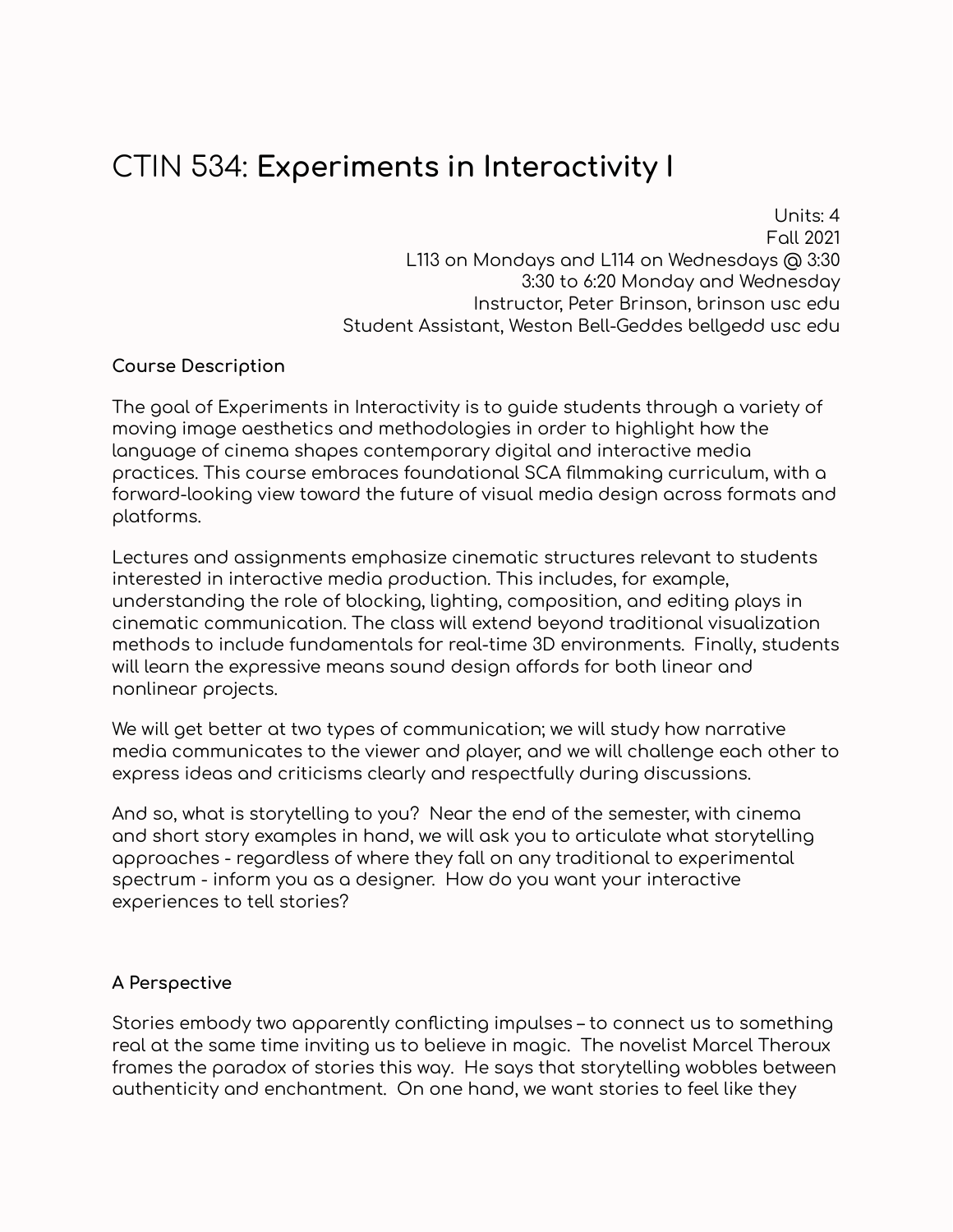# CTIN 534: **Experiments in Interactivity I**

Units: 4 Fall 2021 L113 on Mondays and L114 on Wednesdays @ 3:30 3:30 to 6:20 Monday and Wednesday Instructor, Peter Brinson, brinson usc edu Student Assistant, Weston Bell-Geddes bellgedd usc edu

# **Course Description**

The goal of Experiments in Interactivity is to guide students through a variety of moving image aesthetics and methodologies in order to highlight how the language of cinema shapes contemporary digital and interactive media practices. This course embraces foundational SCA filmmaking curriculum, with a forward-looking view toward the future of visual media design across formats and platforms.

Lectures and assignments emphasize cinematic structures relevant to students interested in interactive media production. This includes, for example, understanding the role of blocking, lighting, composition, and editing plays in cinematic communication. The class will extend beyond traditional visualization methods to include fundamentals for real-time 3D environments. Finally, students will learn the expressive means sound design affords for both linear and nonlinear projects.

We will get better at two types of communication; we will study how narrative media communicates to the viewer and player, and we will challenge each other to express ideas and criticisms clearly and respectfully during discussions.

And so, what is storytelling to you? Near the end of the semester, with cinema and short story examples in hand, we will ask you to articulate what storytelling approaches - regardless of where they fall on any traditional to experimental spectrum - inform you as a designer. How do you want your interactive experiences to tell stories?

#### **A Perspective**

Stories embody two apparently conflicting impulses – to connect us to something real at the same time inviting us to believe in magic. The novelist Marcel Theroux frames the paradox of stories this way. He says that storytelling wobbles between authenticity and enchantment. On one hand, we want stories to feel like they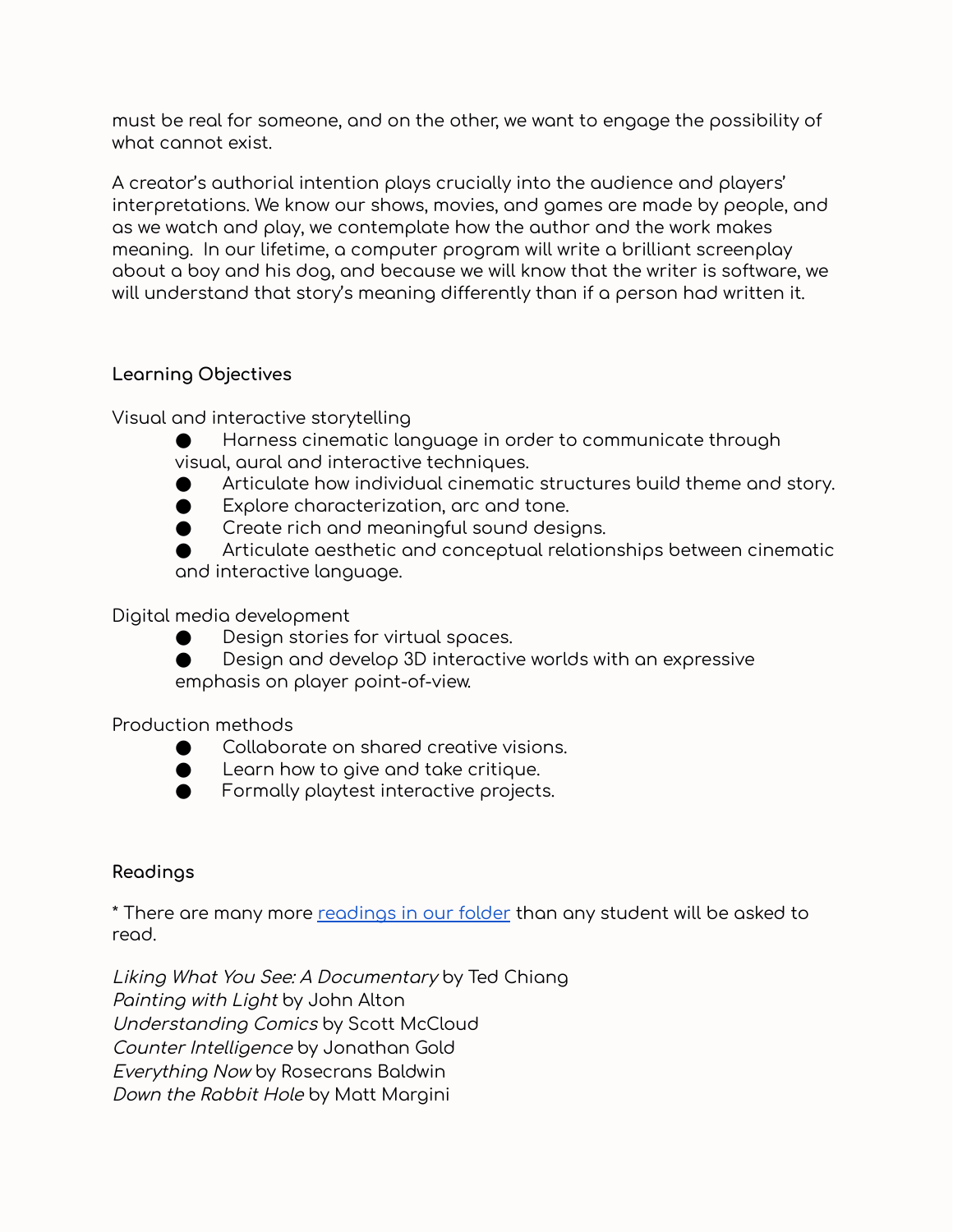must be real for someone, and on the other, we want to engage the possibility of what cannot exist.

A creator's authorial intention plays crucially into the audience and players' interpretations. We know our shows, movies, and games are made by people, and as we watch and play, we contemplate how the author and the work makes meaning. In our lifetime, a computer program will write a brilliant screenplay about a boy and his dog, and because we will know that the writer is software, we will understand that story's meaning differently than if a person had written it.

# **Learning Objectives**

Visual and interactive storytelling

- Harness cinematic language in order to communicate through visual, aural and interactive techniques.
- Articulate how individual cinematic structures build theme and story.
- Explore characterization, arc and tone.
- Create rich and meaningful sound designs.

Articulate aesthetic and conceptual relationships between cinematic and interactive language.

Digital media development

- Design stories for virtual spaces.
- Design and develop 3D interactive worlds with an expressive emphasis on player point-of-view.

Production methods

- Collaborate on shared creative visions.
- Learn how to give and take critique.
- Formally playtest interactive projects.

# **Readings**

\* There are many more [readings](https://drive.google.com/drive/u/1/folders/16S7sPv292OJ3NKT66Cs4u3JKh6ReJ-PQ) in our folder than any student will be asked to read.

Liking What You See: A Documentary by Ted Chiang Painting with Light by John Alton Understanding Comics by Scott McCloud Counter Intelligence by Jonathan Gold Everything Now by Rosecrans Baldwin Down the Rabbit Hole by Matt Margini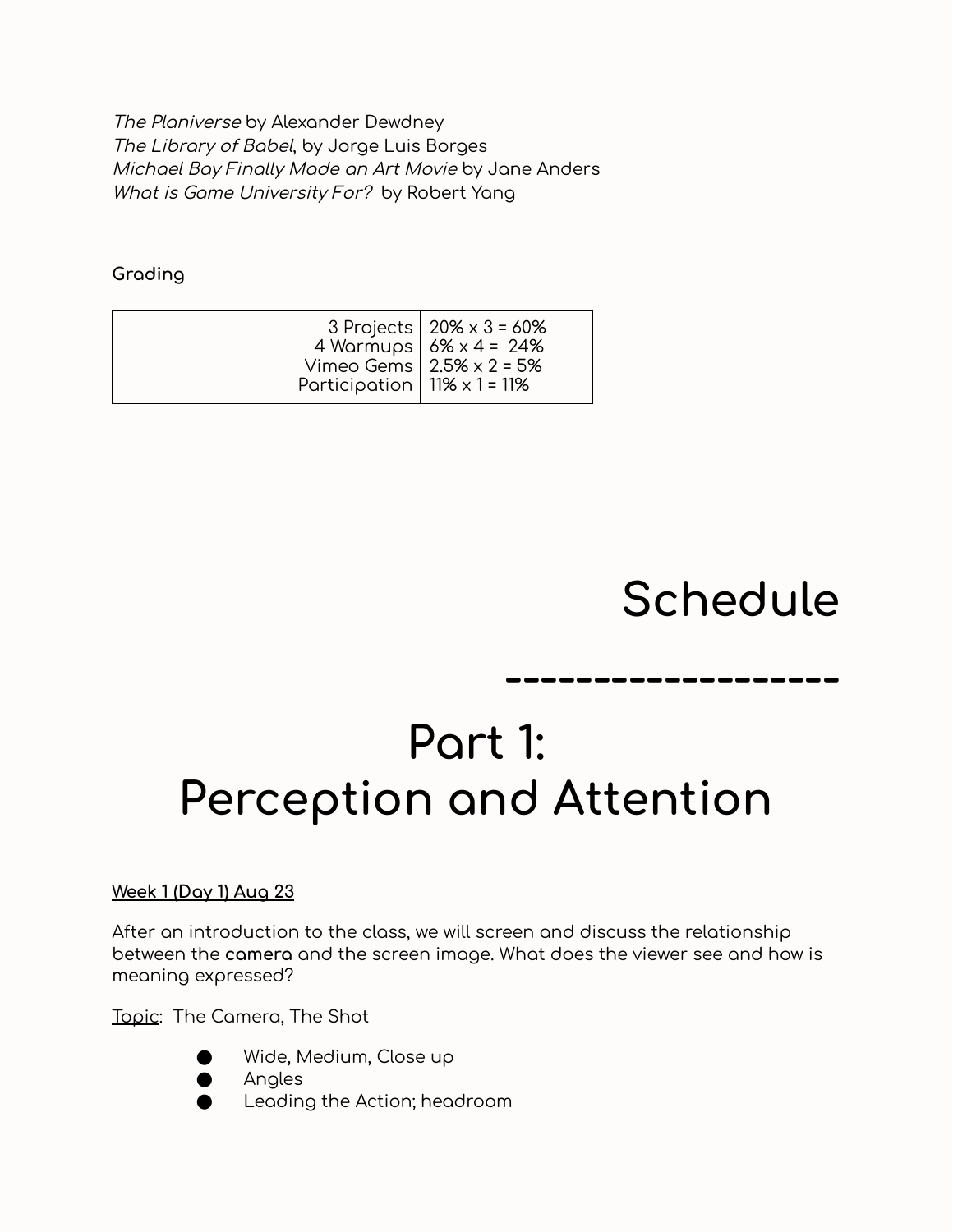The Planiverse by Alexander Dewdney The Library of Babel, by Jorge Luis Borges Michael Bay Finally Made an Art Movie by Jane Anders What is Game University For? by Robert Yang

**Grading**

| 3 Projects   $20\% \times 3 = 60\%$<br>4 Warmups $6\% \times 4 = 24\%$<br>Vimeo Gems   $2.5% \times 2 = 5%$<br>Participation   $11\% \times 1 = 11\%$ |  |
|-------------------------------------------------------------------------------------------------------------------------------------------------------|--|
|-------------------------------------------------------------------------------------------------------------------------------------------------------|--|

# **Schedule**

**-------------------**

# **Part 1: Perception and Attention**

# **Week 1 (Day 1) Aug 23**

After an introduction to the class, we will screen and discuss the relationship between the **camera** and the screen image. What does the viewer see and how is meaning expressed?

Topic: The Camera, The Shot



- Wide, Medium, Close up
- **Angles**
- Leading the Action; headroom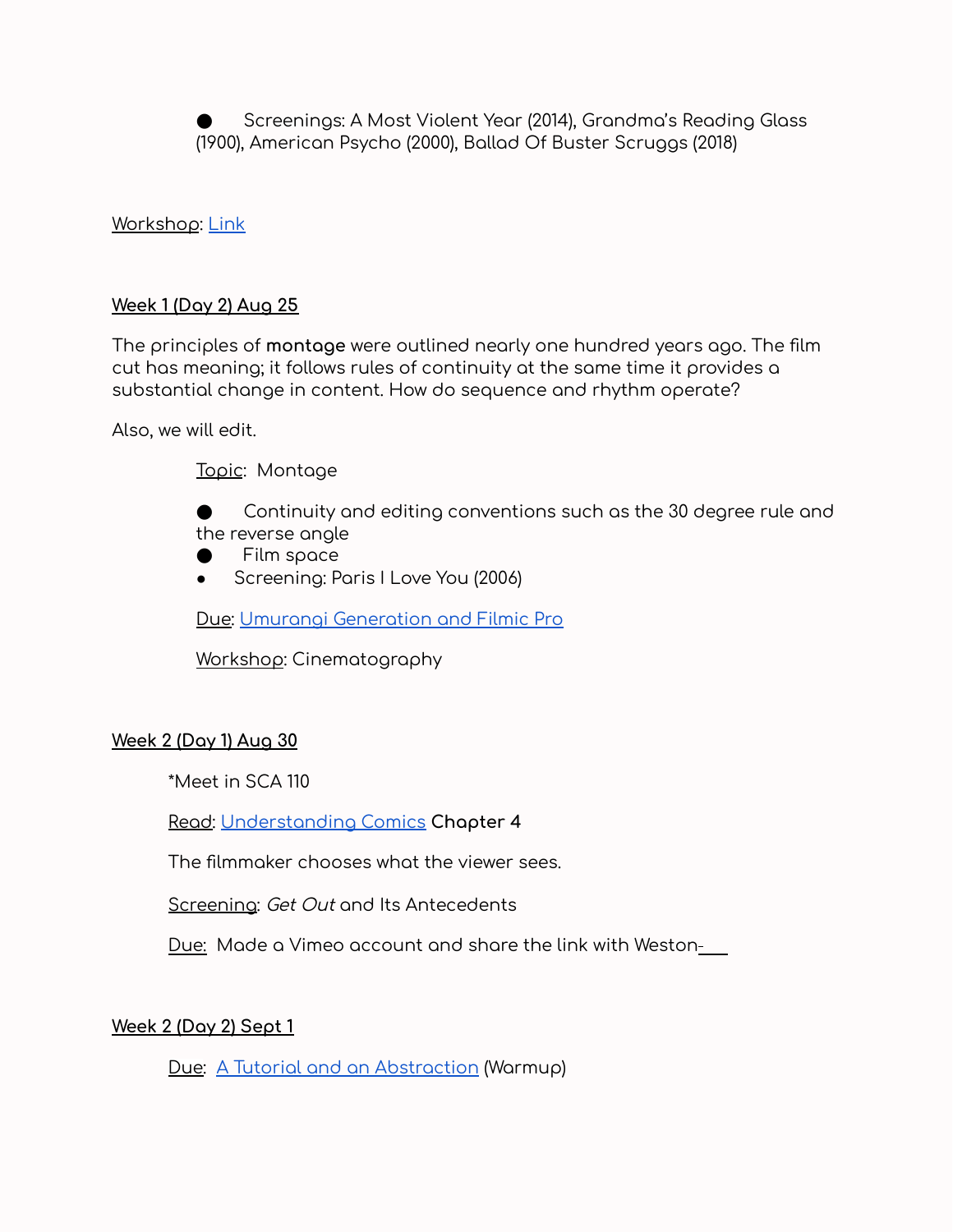Screenings: A Most Violent Year (2014), Grandma's Reading Glass (1900), American Psycho (2000), Ballad Of Buster Scruggs (2018)

#### Workshop: [Link](https://docs.google.com/document/d/1_6YQBbxoeSv-gPvauaxpJMegZSERTy8mK8Vr-b1E2J0/edit)

#### **Week 1 (Day 2) Aug 25**

The principles of **montage** were outlined nearly one hundred years ago. The film cut has meaning; it follows rules of continuity at the same time it provides a substantial change in content. How do sequence and rhythm operate?

Also, we will edit.

Topic: Montage

Continuity and editing conventions such as the 30 degree rule and the reverse angle

- Film space
- Screening: Paris I Love You (2006)

Due: Umurangi [Generation](https://docs.google.com/document/d/1IErxmCIJpTplAB9colQMk_FxUoxkE-aEslkxJBXfnrc/edit) and Filmic Pro

Workshop: Cinematography

#### **Week 2 (Day 1) Aug 30**

\*Meet in SCA 110

Read: [Understanding](https://drive.google.com/drive/u/1/folders/1rxKhs2UpwYhrnVbrS1dgFXTUgri18GIU) Comics **Chapter 4**

The filmmaker chooses what the viewer sees.

Screening: Get Out and Its Antecedents

Due: Made a Vimeo account and share the link with Weston-

#### **Week 2 (Day 2) Sept 1**

Due: A Tutorial and an [Abstraction](https://docs.google.com/document/d/1nzZkgB0vAaZ6vzgxnF_Gj25QM99uS0lYjVTLFrXoTw8/edit) (Warmup)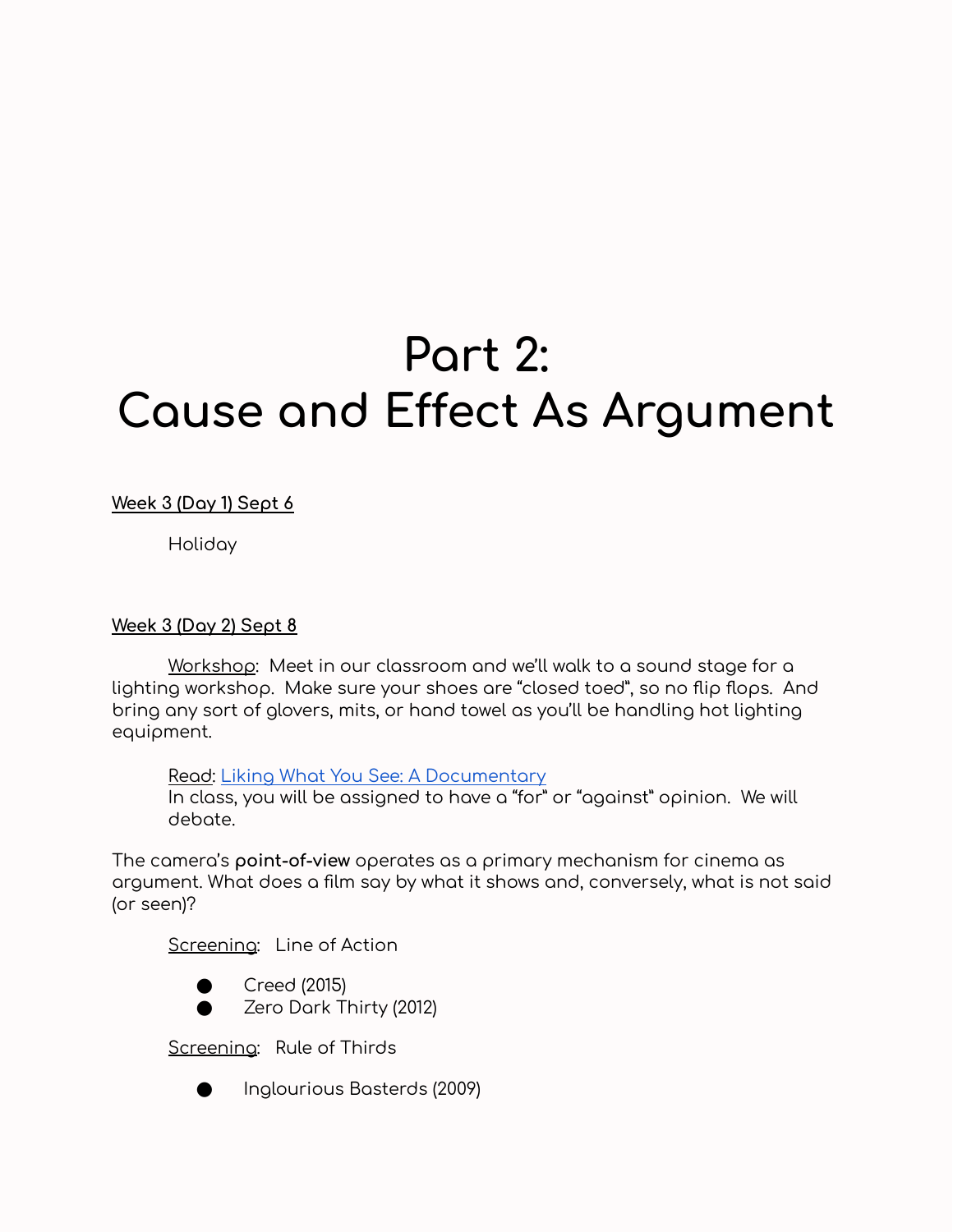# **Part 2: Cause and Effect As Argument**

**Week 3 (Day 1) Sept 6**

Holiday

#### **Week 3 (Day 2) Sept 8**

Workshop: Meet in our classroom and we'll walk to a sound stage for a lighting workshop. Make sure your shoes are "closed toed", so no flip flops. And bring any sort of glovers, mits, or hand towel as you'll be handling hot lighting equipment.

Read: Liking What You See: A [Documentary](https://drive.google.com/drive/u/1/folders/1rxKhs2UpwYhrnVbrS1dgFXTUgri18GIU)

In class, you will be assigned to have a "for" or "against" opinion. We will debate.

The camera's **point-of-view** operates as a primary mechanism for cinema as argument. What does a film say by what it shows and, conversely, what is not said (or seen)?

Screening: Line of Action





Screening: Rule of Thirds



Inglourious Basterds (2009)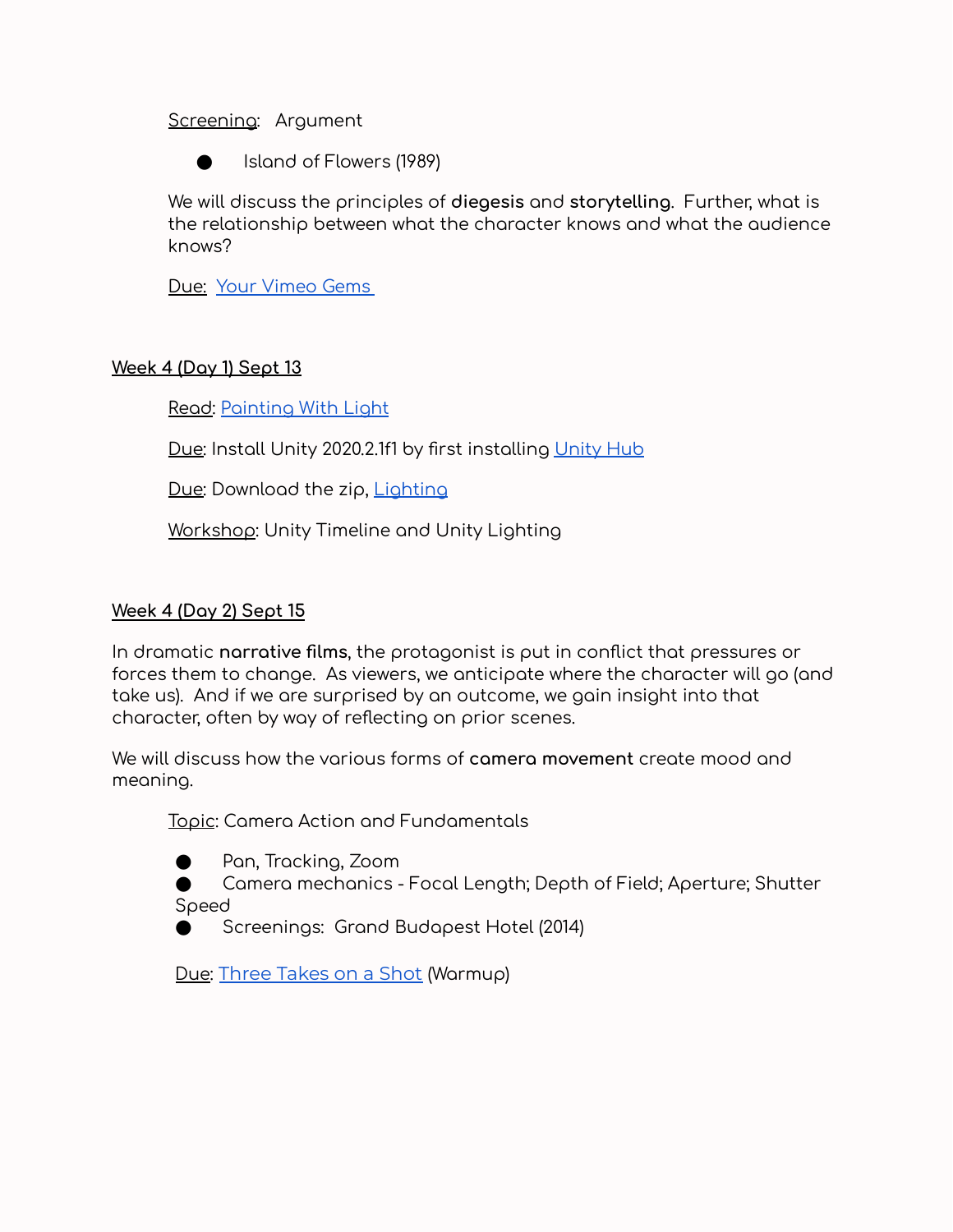#### Screening: Argument

Island of Flowers (1989)

We will discuss the principles of **diegesis** and **storytelling**. Further, what is the relationship between what the character knows and what the audience knows?

Due: Your [Vimeo](https://docs.google.com/document/d/1oPZ2wfqdSl_FvQncp6z8l9fxnrAMEH5_Vt1i_1znOkU/edit) Gems

# **Week 4 (Day 1) Sept 13**

Read: [Painting](https://drive.google.com/drive/u/1/folders/1rxKhs2UpwYhrnVbrS1dgFXTUgri18GIU) With Light

Due: Install [Unity](https://unity3d.com/get-unity/download) 2020.2.1f1 by first installing Unity Hub

Due: Download the zip, **[Lighting](https://drive.google.com/drive/folders/1z1lWtDQxULNfgVB50qnbJhhPC7XFX2Z_?usp=sharing)** 

Workshop: Unity Timeline and Unity Lighting

#### **Week 4 (Day 2) Sept 15**

In dramatic **narrative films**, the protagonist is put in conflict that pressures or forces them to change. As viewers, we anticipate where the character will go (and take us). And if we are surprised by an outcome, we gain insight into that character, often by way of reflecting on prior scenes.

We will discuss how the various forms of **camera movement** create mood and meaning.

Topic: Camera Action and Fundamentals

● Pan, Tracking, Zoom

● Camera mechanics - Focal Length; Depth of Field; Aperture; Shutter Speed

Screenings: Grand Budapest Hotel (2014)

Due: Three [Takes](https://docs.google.com/document/d/1Ls0GuYKzFB7-sHkYnVV-uTRPCiV81b-aQfw2-JBEinw/edit) on a Shot (Warmup)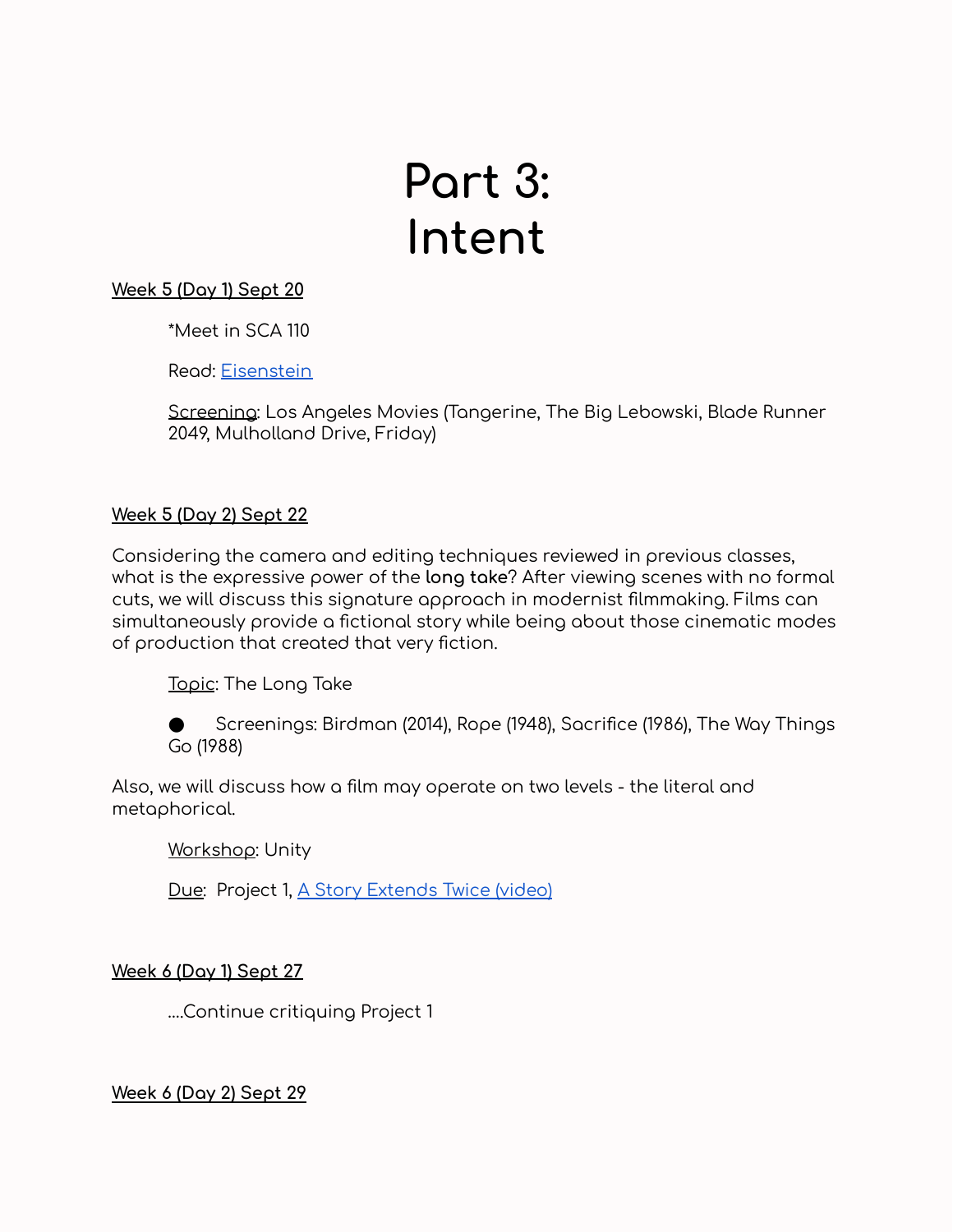# **Part 3: Intent**

# **Week 5 (Day 1) Sept 20**

\*Meet in SCA 110

Read: [Eisenstein](https://drive.google.com/drive/u/1/folders/1rxKhs2UpwYhrnVbrS1dgFXTUgri18GIU)

Screening: Los Angeles Movies (Tangerine, The Big Lebowski, Blade Runner 2049, Mulholland Drive, Friday)

# **Week 5 (Day 2) Sept 22**

Considering the camera and editing techniques reviewed in previous classes, what is the expressive power of the **long take**? After viewing scenes with no formal cuts, we will discuss this signature approach in modernist filmmaking. Films can simultaneously provide a fictional story while being about those cinematic modes of production that created that very fiction.

Topic: The Long Take

Screenings: Birdman (2014), Rope (1948), Sacrifice (1986), The Way Things Go (1988)

Also, we will discuss how a film may operate on two levels - the literal and metaphorical.

Workshop: Unity

Due: Project 1, A Story [Extends](https://docs.google.com/document/d/1N8O-J7OS_BgIUidkMfK-anVcui4hsBXZUZN7R2LYFEE/edit) Twice (video)

**Week 6 (Day 1) Sept 27**

….Continue critiquing Project 1

**Week 6 (Day 2) Sept 29**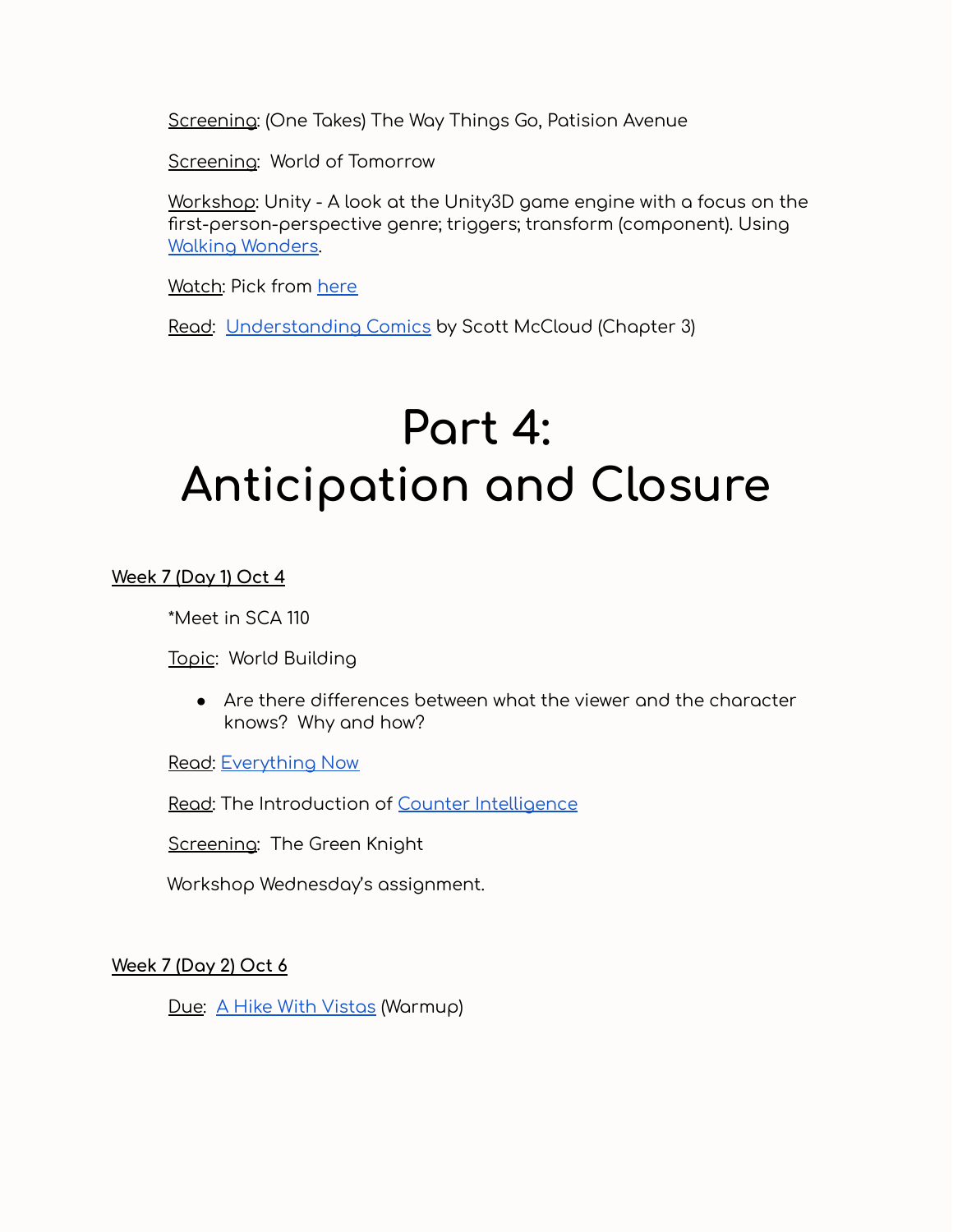Screening: (One Takes) The Way Things Go, Patision Avenue

Screening: World of Tomorrow

Workshop: Unity - A look at the Unity3D game engine with a focus on the first-person-perspective genre; triggers; transform (component). Using Walking [Wonders.](https://drive.google.com/file/d/1Ed8QN0fSizsa7diMbKwWAU1eYHQUv51D/view?usp=sharing)

Watch: Pick from [here](https://vimeo.com/groups/685358)

Read: [Understanding](https://drive.google.com/drive/u/0/folders/16S7sPv292OJ3NKT66Cs4u3JKh6ReJ-PQ) Comics by Scott McCloud (Chapter 3)

# **Part 4: Anticipation and Closure**

**Week 7 (Day 1) Oct 4**

\*Meet in SCA 110

Topic: World Building

● Are there differences between what the viewer and the character knows? Why and how?

Read: [Everything](https://drive.google.com/drive/u/1/folders/1rxKhs2UpwYhrnVbrS1dgFXTUgri18GIU) Now

Read: The Introduction of Counter [Intelligence](https://www.google.com/books/edition/Counter_Intelligence/Agxy6i_QeT0C?hl=en&gbpv=1&printsec=frontcover)

Screening: The Green Knight

Workshop Wednesday's assignment.

**Week 7 (Day 2) Oct 6**

Due: A Hike With [Vistas](https://docs.google.com/document/d/18Goc-UqgKr__fTESsK_lrQ80ErJzwOjXC6791CdlEJc/edit) (Warmup)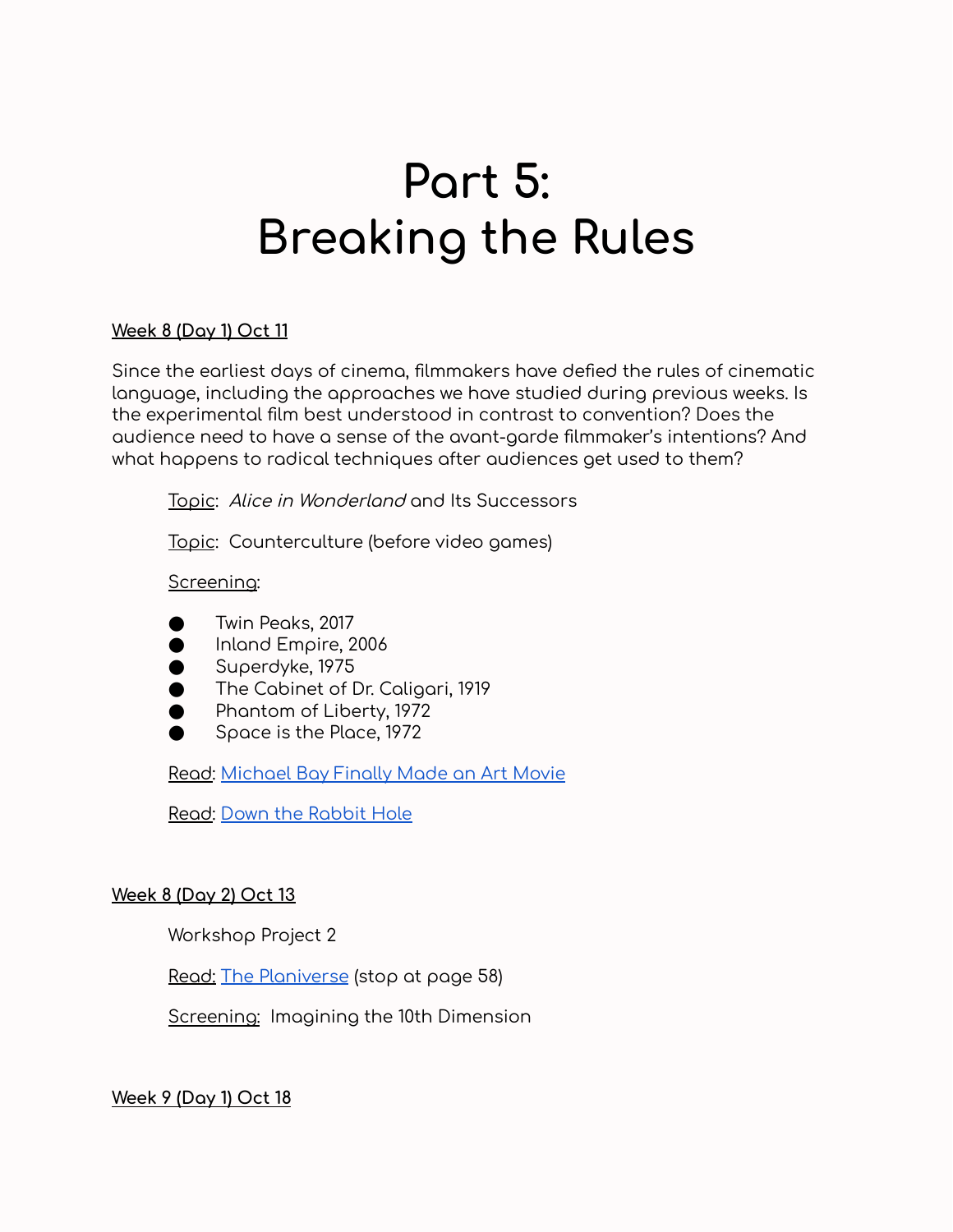# **Part 5: Breaking the Rules**

# **Week 8 (Day 1) Oct 11**

Since the earliest days of cinema, filmmakers have defied the rules of cinematic language, including the approaches we have studied during previous weeks. Is the experimental film best understood in contrast to convention? Does the audience need to have a sense of the avant-garde filmmaker's intentions? And what happens to radical techniques after audiences get used to them?

Topic: Alice in Wonderland and Its Successors

Topic: Counterculture (before video games)

#### Screening:

- Twin Peaks, 2017
- Inland Empire, 2006
- Superdyke, 1975
- The Cabinet of Dr. Caligari, 1919
- Phantom of Liberty, 1972
- Space is the Place, 1972

Read: [Michael](http://io9.gizmodo.com/5301898/michael-bay-finally-made-an-art-movie) Bay Finally Made an Art Movie

Read: [D](http://io9.gizmodo.com/5301898/michael-bay-finally-made-an-art-movie)own the [Rabbit](https://www.theatlantic.com/entertainment/archive/2016/03/alice-in-wonderlands-influence-on-video-games/473082/) Hole

#### **Week 8 (Day 2) Oct 13**

Workshop Project 2

Read: [T](https://drive.google.com/open?id=18Xx9rovDYDkgomj8ao0btcvlIN58Itou)he [Planiverse](https://drive.google.com/drive/u/1/folders/1rxKhs2UpwYhrnVbrS1dgFXTUgri18GIU) (stop at page 58)

Screening: Imagining the 10th Dimension

**Week 9 (Day 1) Oct 18**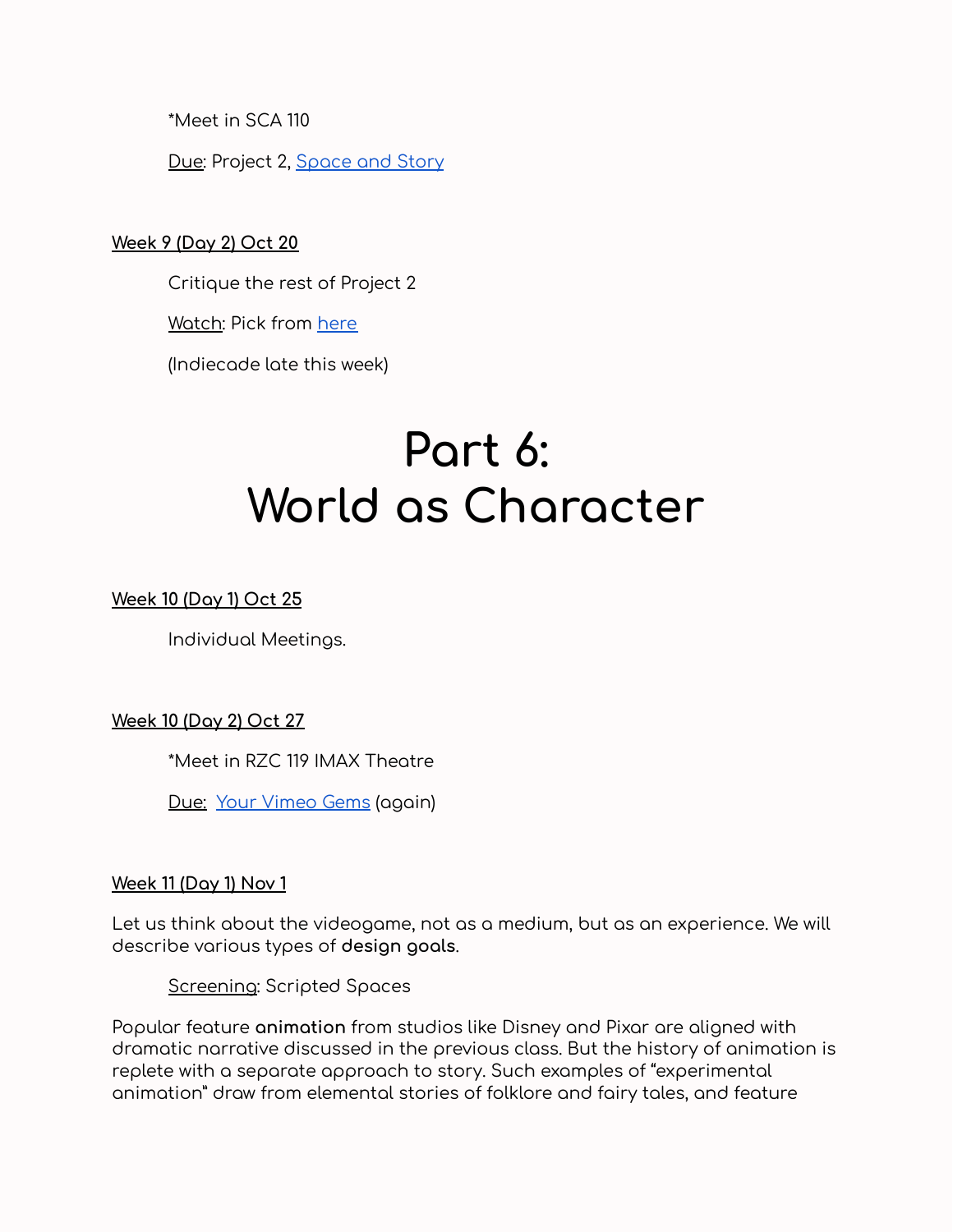\*Meet in SCA 110

Due: Project 2, [Space](https://docs.google.com/document/d/1UROtz15Kw96b1j0QgDThciBGoWITlMdtag9XaeP7V50/edit) and Story

# **Week 9 (Day 2) Oct 20**

Critique the rest of Project 2

Watch: Pick from [here](https://vimeo.com/groups/685358)

(Indiecade late this week)

# **Part 6: World as Character**

# **Week 10 (Day 1) Oct 25**

Individual Meetings.

**Week 10 (Day 2) Oct 27**

\*Meet in RZC 119 IMAX Theatre

Due: Your [Vimeo](https://docs.google.com/document/d/1qsimAw54KFlJP3lcwQRe7gkdVRUhIiZTdrUUNGVVcN8/edit) Gems (again)

#### **Week 11 (Day 1) Nov 1**

Let us think about the videogame, not as a medium, but as an experience. We will describe various types of **design goals**.

Screening: Scripted Spaces

Popular feature **animation** from studios like Disney and Pixar are aligned with dramatic narrative discussed in the previous class. But the history of animation is replete with a separate approach to story. Such examples of "experimental animation" draw from elemental stories of folklore and fairy tales, and feature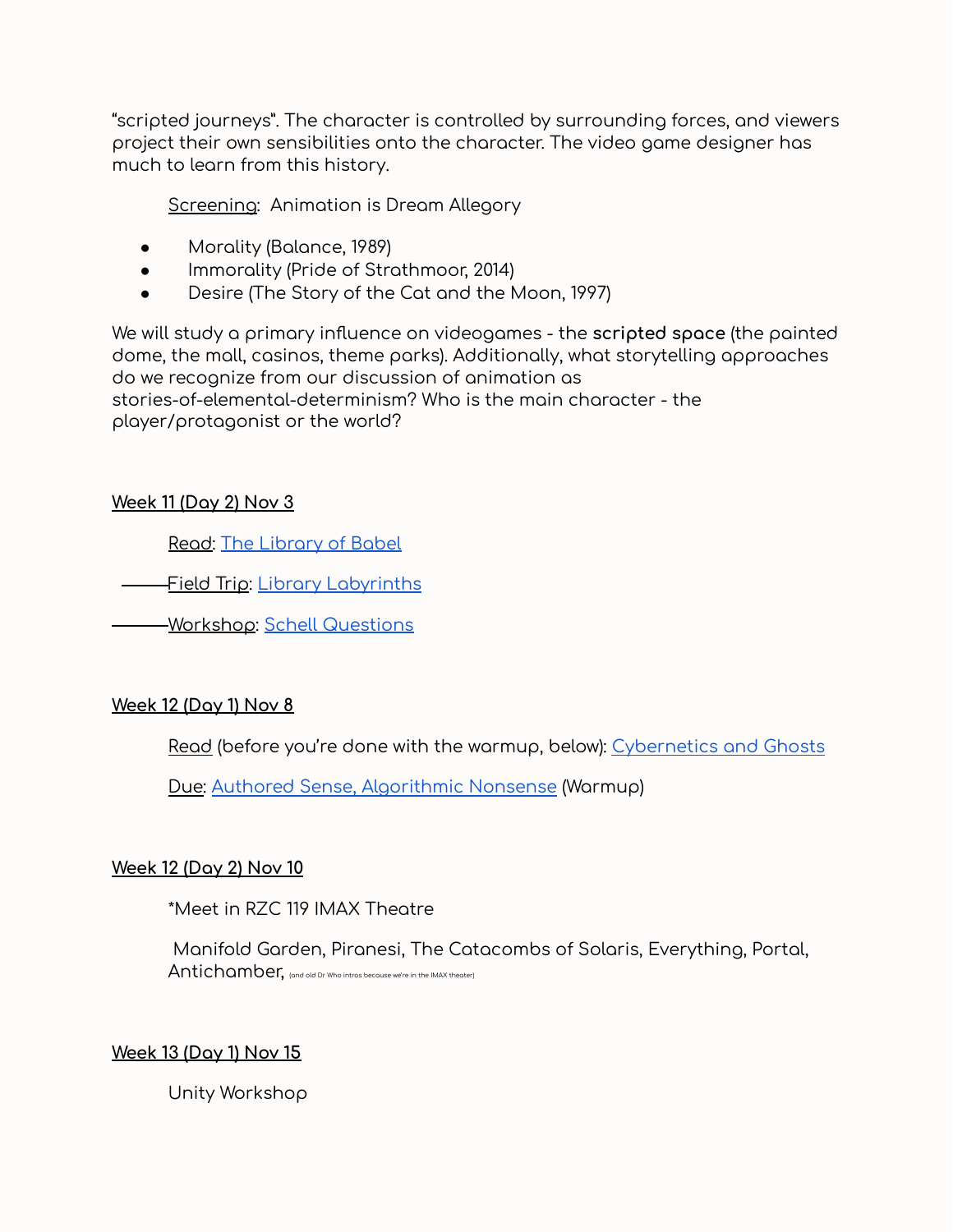"scripted journeys". The character is controlled by surrounding forces, and viewers project their own sensibilities onto the character. The video game designer has much to learn from this history.

Screening: Animation is Dream Allegory

- Morality (Balance, 1989)
- Immorality (Pride of Strathmoor, 2014)
- Desire (The Story of the Cat and the Moon, 1997)

We will study a primary influence on videogames - the **scripted space** (the painted dome, the mall, casinos, theme parks). Additionally, what storytelling approaches do we recognize from our discussion of animation as stories-of-elemental-determinism? Who is the main character - the player/protagonist or the world?

# **Week 11 (Day 2) Nov 3**

Read: The [Library](https://drive.google.com/drive/u/1/folders/1rxKhs2UpwYhrnVbrS1dgFXTUgri18GIU) of Babel

—<u>Field Trip</u>: <u>Library [Labyrinths](https://docs.google.com/document/d/1Z0qg5kY5a507VCEUp16fe_lBVAWNsMOS0iKQgpk8HFw/edit)</u>

Workshop: Schell [Questions](https://docs.google.com/document/d/1aJ3spyHYaAKtSUh-2BhTzP5Znr9n6gPyjYdBqNC-Bz4/edit)

# **Week 12 (Day 1) Nov 8**

Read (before you're done with the warmup, below): [Cybernetics](https://docs.google.com/document/d/1bXI3XzCwoouxYbXj9MCQHUWAqNROcPwx1DT416120is/edit) and Ghosts

Due: Authored Sense, [Algorithmic](https://docs.google.com/document/d/18H7VOXll5iv1hIdAQP2g4aEV--rQna17JcZKdUONfl4/edit) Nonsense (Warmup)

#### **Week 12 (Day 2) Nov 10**

\*Meet in RZC 119 IMAX Theatre

Manifold Garden, Piranesi, The Catacombs of Solaris, Everything, Portal, Antichamber, (and old Dr Who intros because we're in the IMAX theater)

#### **Week 13 (Day 1) Nov 15**

Unity Workshop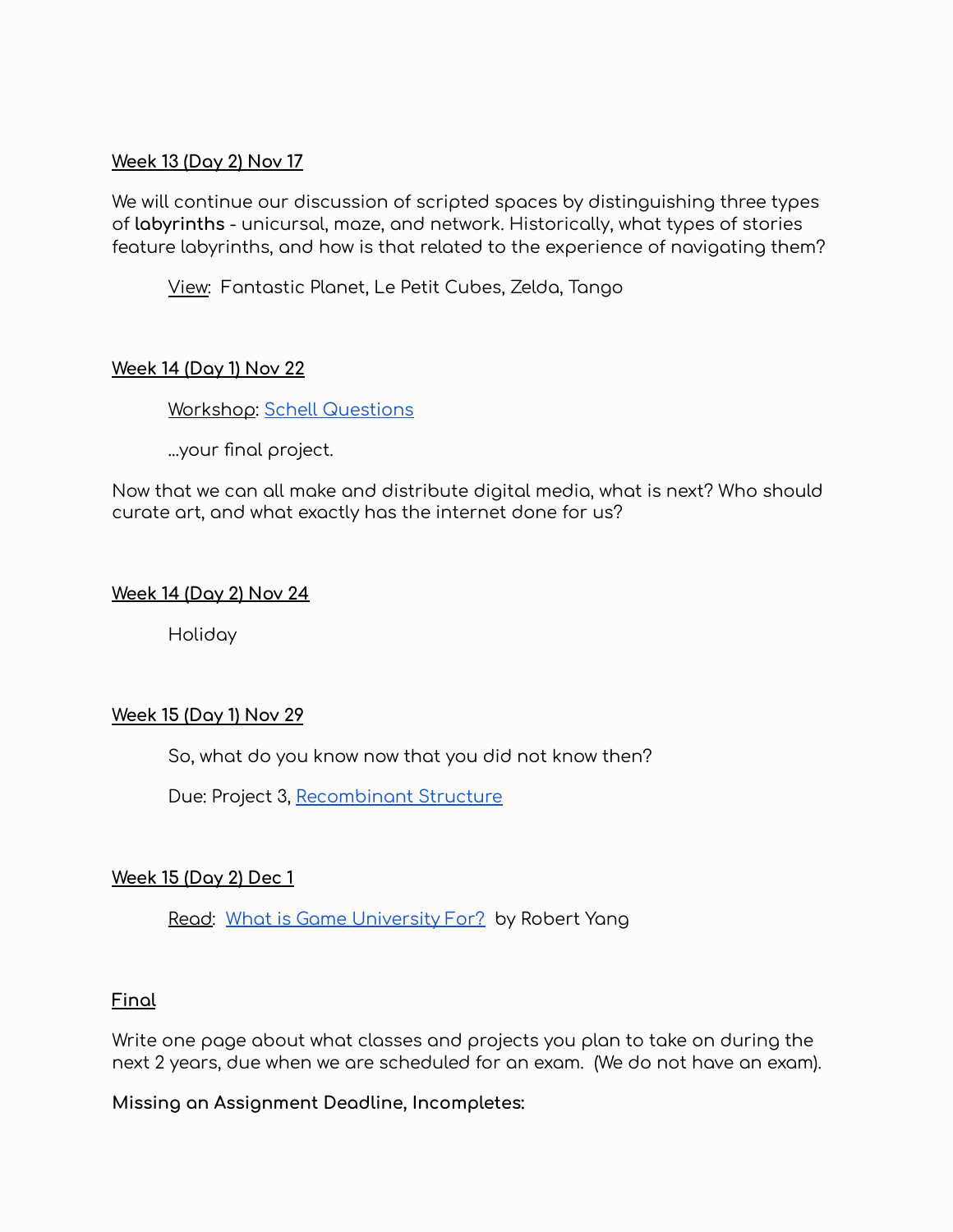#### **Week 13 (Day 2) Nov 17**

We will continue our discussion of scripted spaces by distinguishing three types of **labyrinths** - unicursal, maze, and network. Historically, what types of stories feature labyrinths, and how is that related to the experience of navigating them?

View: Fantastic Planet, Le Petit Cubes, Zelda, Tango

# **Week 14 (Day 1) Nov 22**

Workshop: Schell [Questions](https://docs.google.com/document/d/1st_099gH14I1dY13PcnI9p4Kcvwo-fd3kYxMpKPOriw/edit)

...your final project.

Now that we can all make and distribute digital media, what is next? Who should curate art, and what exactly has the internet done for us?

# **Week 14 (Day 2) Nov 24**

Holiday

# **Week 15 (Day 1) Nov 29**

So, what do you know now that you did not know then?

Due: Project 3, [Recombinant](https://docs.google.com/document/d/1qXoHoKr57BShKOtqQmW6OrgLNXyFicXMqRgXMaDzpzU/edit) Structure

# **Week 15 (Day 2) Dec 1**

Read: What is Game [University](https://www.blog.radiator.debacle.us/2018/05/what-is-game-university-for.html) For? by Robert Yang

# **Final**

Write one page about what classes and projects you plan to take on during the next 2 years, due when we are scheduled for an exam. (We do not have an exam).

**Missing an Assignment Deadline, Incompletes:**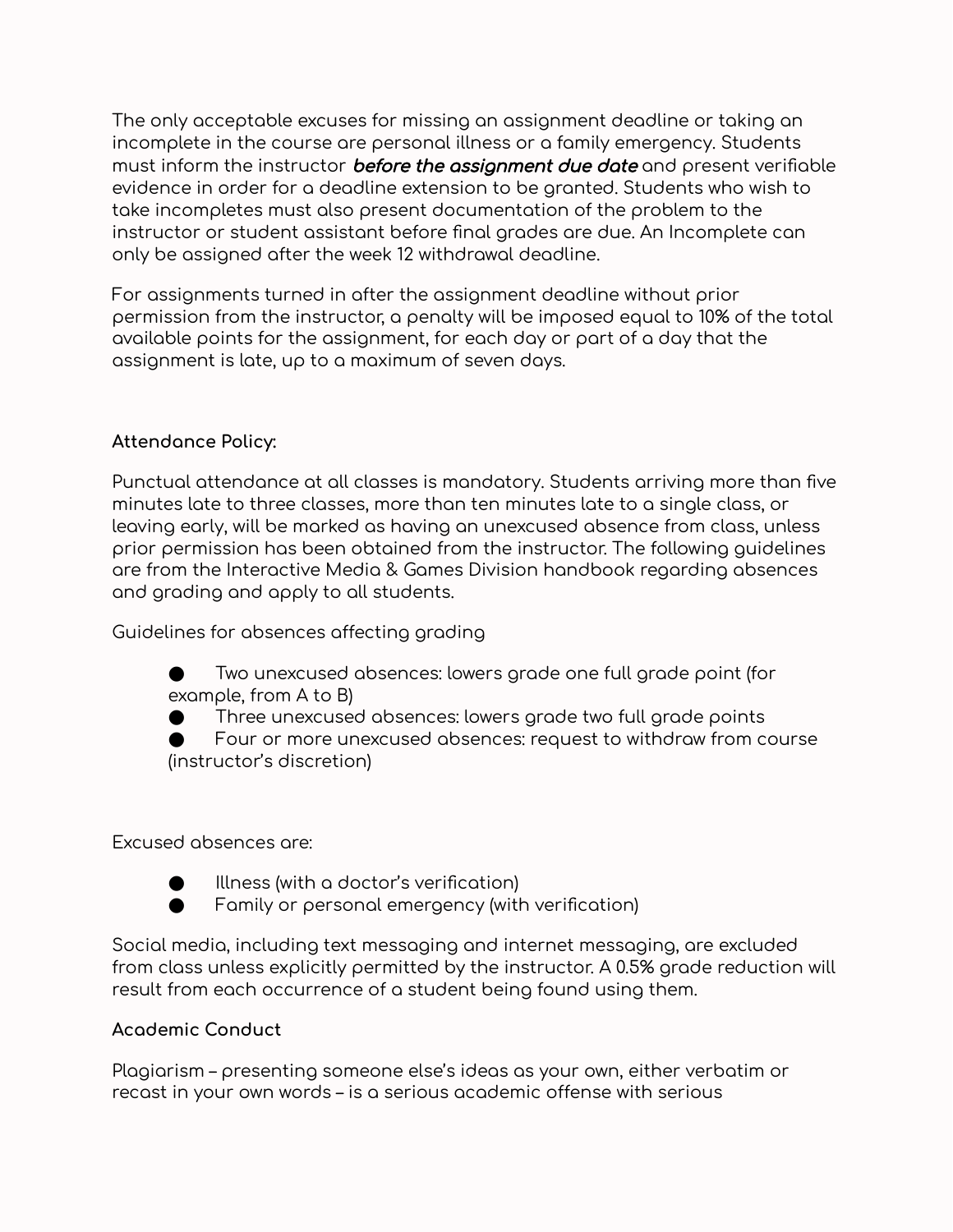The only acceptable excuses for missing an assignment deadline or taking an incomplete in the course are personal illness or a family emergency. Students must inform the instructor **before the assignment due date** and present verifiable evidence in order for a deadline extension to be granted. Students who wish to take incompletes must also present documentation of the problem to the instructor or student assistant before final grades are due. An Incomplete can only be assigned after the week 12 withdrawal deadline.

For assignments turned in after the assignment deadline without prior permission from the instructor, a penalty will be imposed equal to 10% of the total available points for the assignment, for each day or part of a day that the assignment is late, up to a maximum of seven days.

# **Attendance Policy:**

Punctual attendance at all classes is mandatory. Students arriving more than five minutes late to three classes, more than ten minutes late to a single class, or leaving early, will be marked as having an unexcused absence from class, unless prior permission has been obtained from the instructor. The following guidelines are from the Interactive Media & Games Division handbook regarding absences and grading and apply to all students.

Guidelines for absences affecting grading

Two unexcused absences: lowers grade one full grade point (for example, from A to B)

Three unexcused absences: lowers grade two full grade points

Four or more unexcused absences: request to withdraw from course (instructor's discretion)

#### Excused absences are:

- - Illness (with a doctor's verification)
	- Family or personal emergency (with verification)

Social media, including text messaging and internet messaging, are excluded from class unless explicitly permitted by the instructor. A 0.5% grade reduction will result from each occurrence of a student being found using them.

#### **Academic Conduct**

Plagiarism – presenting someone else's ideas as your own, either verbatim or recast in your own words – is a serious academic offense with serious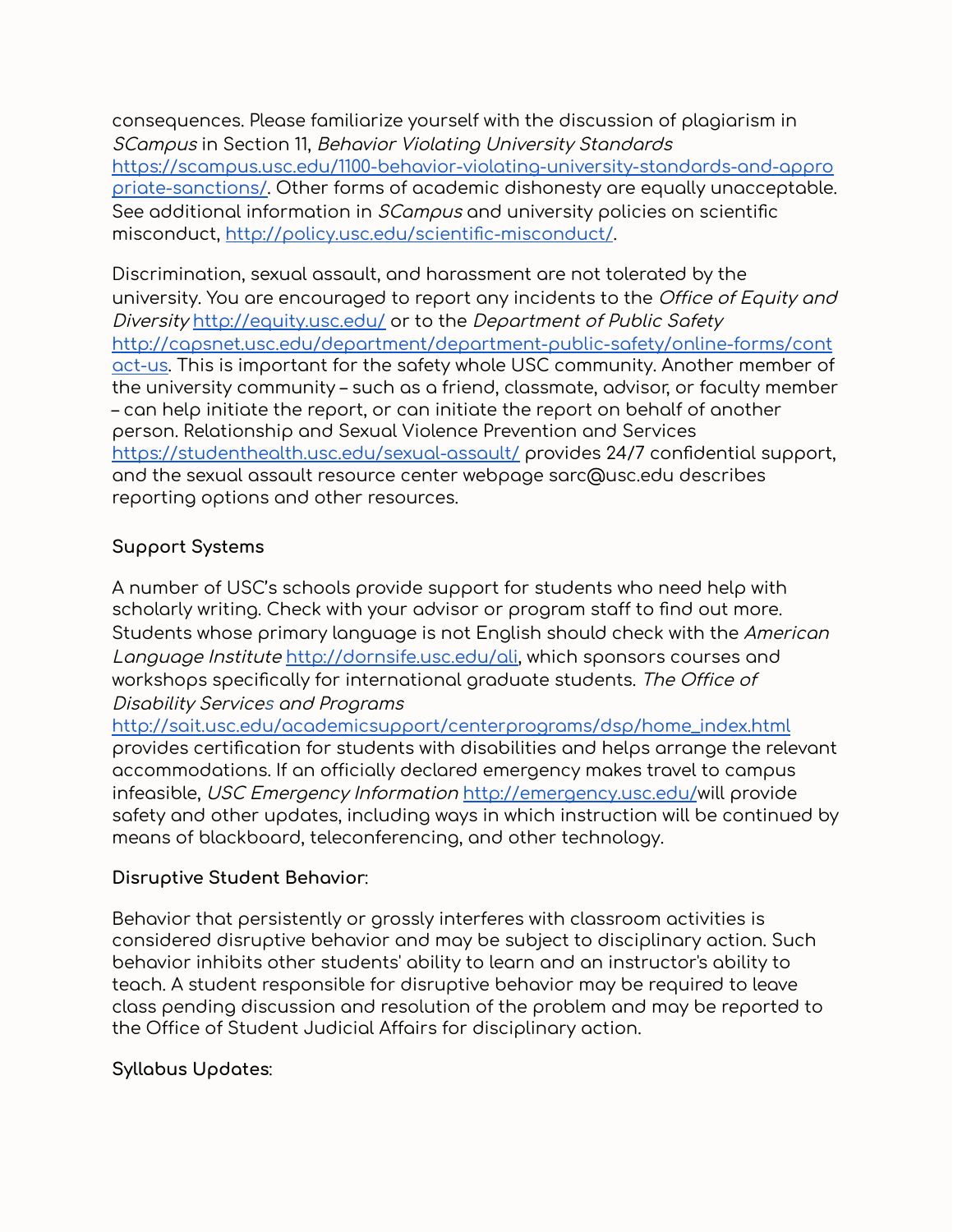consequences. Please familiarize yourself with the discussion of plagiarism in SCampus in Section 11, Behavior Violating University Standard[s](https://scampus.usc.edu/1100-behavior-violating-university-standards-and-appropriate-sanctions/) [https://scampus.usc.edu/1100-behavior-violating-university-standards-and-appro](https://scampus.usc.edu/1100-behavior-violating-university-standards-and-appropriate-sanctions/) [priate-sanctions/.](https://scampus.usc.edu/1100-behavior-violating-university-standards-and-appropriate-sanctions/) Other forms of academic dishonesty are equally unacceptable. See additional information in *SCampus* and university policies on scientific misconduct, <http://policy.usc.edu/scientific-misconduct/>.

Discrimination, sexual assault, and harassment are not tolerated by the university. You are encouraged to report any incidents to the Office of Equity and Diversity <http://equity.usc.edu/> or to the Department of Public Safet[y](http://capsnet.usc.edu/department/department-public-safety/online-forms/contact-us) [http://capsnet.usc.edu/department/department-public-safety/online-forms/cont](http://capsnet.usc.edu/department/department-public-safety/online-forms/contact-us) [act-us](http://capsnet.usc.edu/department/department-public-safety/online-forms/contact-us). This is important for the safety whole USC community. Another member of the university community – such as a friend, classmate, advisor, or faculty member – can help initiate the report, or can initiate the report on behalf of another person. Relationship and Sexual Violence Prevention and Services <https://studenthealth.usc.edu/sexual-assault/> provides 24/7 confidential support, and the sexual assault resource center webpage sarc@usc.edu describes reporting options and other resources.

# **Support Systems**

A number of USC's schools provide support for students who need help with scholarly writing. Check with your advisor or program staff to find out more. Students whose primary language is not English should check with the American Language Institute [http://dornsife.usc.edu/ali,](http://dornsife.usc.edu/ali) which sponsors courses and workshops specifically for international graduate students. The Office of Disability Services and Program[s](http://sait.usc.edu/academicsupport/centerprograms/dsp/home_index.html)

[http://sait.usc.edu/academicsupport/centerprograms/dsp/home\\_index.html](http://sait.usc.edu/academicsupport/centerprograms/dsp/home_index.html) provides certification for students with disabilities and helps arrange the relevant accommodations. If an officially declared emergency makes travel to campus infeasible, USC Emergency Information <http://emergency.usc.edu/>will provide safety and other updates, including ways in which instruction will be continued by means of blackboard, teleconferencing, and other technology.

# **Disruptive Student Behavior**:

Behavior that persistently or grossly interferes with classroom activities is considered disruptive behavior and may be subject to disciplinary action. Such behavior inhibits other students' ability to learn and an instructor's ability to teach. A student responsible for disruptive behavior may be required to leave class pending discussion and resolution of the problem and may be reported to the Office of Student Judicial Affairs for disciplinary action.

# **Syllabus Updates**: